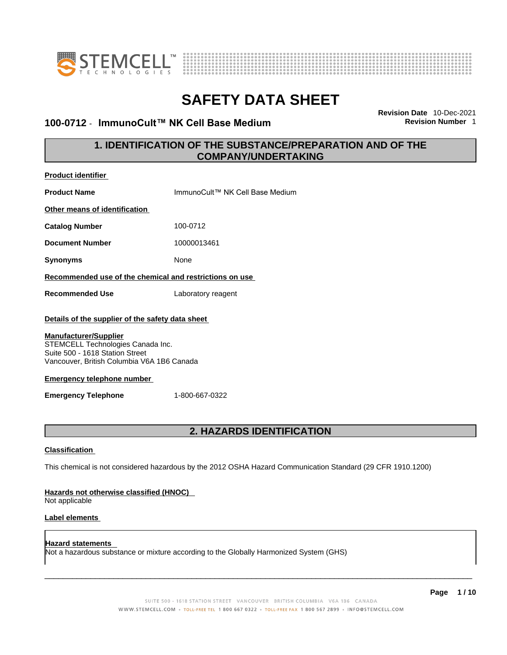

**Product identifier**



# **SAFETY DATA SHEET**

## **100-0712** - **ImmunoCult™ NK Cell Base Medium Revision Number** 1

**Revision Date** 10-Dec-2021

## **1. IDENTIFICATION OF THE SUBSTANCE/PREPARATION AND OF THE COMPANY/UNDERTAKING**

| <b>Product Refittivel</b>                                                                                                                          |                                                                                                             |
|----------------------------------------------------------------------------------------------------------------------------------------------------|-------------------------------------------------------------------------------------------------------------|
| <b>Product Name</b>                                                                                                                                | ImmunoCult™ NK Cell Base Medium                                                                             |
| Other means of identification                                                                                                                      |                                                                                                             |
| <b>Catalog Number</b>                                                                                                                              | 100-0712                                                                                                    |
| <b>Document Number</b>                                                                                                                             | 10000013461                                                                                                 |
| <b>Synonyms</b>                                                                                                                                    | None                                                                                                        |
| Recommended use of the chemical and restrictions on use                                                                                            |                                                                                                             |
| <b>Recommended Use</b>                                                                                                                             | Laboratory reagent                                                                                          |
| Details of the supplier of the safety data sheet                                                                                                   |                                                                                                             |
| <b>Manufacturer/Supplier</b><br>STEMCELL Technologies Canada Inc.<br>Suite 500 - 1618 Station Street<br>Vancouver, British Columbia V6A 1B6 Canada |                                                                                                             |
| <b>Emergency telephone number</b>                                                                                                                  |                                                                                                             |
| <b>Emergency Telephone</b>                                                                                                                         | 1-800-667-0322                                                                                              |
|                                                                                                                                                    |                                                                                                             |
|                                                                                                                                                    | <b>2. HAZARDS IDENTIFICATION</b>                                                                            |
| <b>Classification</b>                                                                                                                              |                                                                                                             |
|                                                                                                                                                    | This chemical is not considered hazardous by the 2012 OSHA Hazard Communication Standard (29 CFR 1910.1200) |
| Hazards not otherwise classified (HNOC)<br>Not applicable                                                                                          |                                                                                                             |
| Label elements                                                                                                                                     |                                                                                                             |

**Hazard statements**  Not a hazardous substance or mixture according to the Globally Harmonized System (GHS)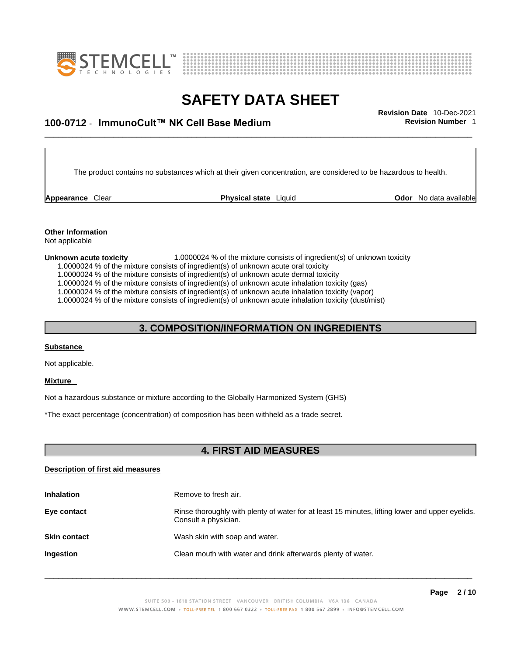



## \_\_\_\_\_\_\_\_\_\_\_\_\_\_\_\_\_\_\_\_\_\_\_\_\_\_\_\_\_\_\_\_\_\_\_\_\_\_\_\_\_\_\_\_\_\_\_\_\_\_\_\_\_\_\_\_\_\_\_\_\_\_\_\_\_\_\_\_\_\_\_\_\_\_\_\_\_\_\_\_\_\_\_\_\_\_\_\_\_\_\_\_\_ **Revision Date** 10-Dec-2021 **100-0712** - **ImmunoCult™ NK Cell Base Medium Revision Number** 1

The product contains no substances which at their given concentration, are considered to be hazardous to health.

**Appearance** Clear **Physical state** Liquid

**Odor** No data available

**Other Information**  Not applicable

#### **Unknown acute toxicity** 1.0000024 % of the mixture consists of ingredient(s) of unknown toxicity

1.0000024 % of the mixture consists of ingredient(s) of unknown acute oral toxicity

1.0000024 % of the mixture consists of ingredient(s) of unknown acute dermal toxicity

1.0000024 % of the mixture consists of ingredient(s) of unknown acute inhalation toxicity (gas)

1.0000024 % of the mixture consists of ingredient(s) of unknown acute inhalation toxicity (vapor)

1.0000024 % of the mixture consists of ingredient(s) of unknown acute inhalation toxicity (dust/mist)

### **3. COMPOSITION/INFORMATION ON INGREDIENTS**

### **Substance**

Not applicable.

#### **Mixture**

Not a hazardous substance or mixture according to the Globally Harmonized System (GHS)

\*The exact percentage (concentration) of composition has been withheld as a trade secret.

## **4. FIRST AID MEASURES**

### **Description of first aid measures**

| <b>Inhalation</b>   | Remove to fresh air.                                                                                                    |
|---------------------|-------------------------------------------------------------------------------------------------------------------------|
| Eye contact         | Rinse thoroughly with plenty of water for at least 15 minutes, lifting lower and upper eyelids.<br>Consult a physician. |
| <b>Skin contact</b> | Wash skin with soap and water.                                                                                          |
| Ingestion           | Clean mouth with water and drink afterwards plenty of water.                                                            |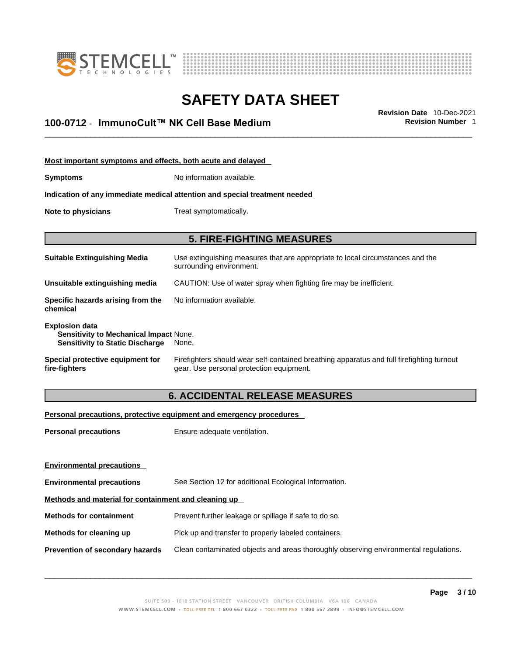



## \_\_\_\_\_\_\_\_\_\_\_\_\_\_\_\_\_\_\_\_\_\_\_\_\_\_\_\_\_\_\_\_\_\_\_\_\_\_\_\_\_\_\_\_\_\_\_\_\_\_\_\_\_\_\_\_\_\_\_\_\_\_\_\_\_\_\_\_\_\_\_\_\_\_\_\_\_\_\_\_\_\_\_\_\_\_\_\_\_\_\_\_\_ **Revision Date** 10-Dec-2021 **100-0712** - **ImmunoCult™ NK Cell Base Medium Revision Number** 1

| Most important symptoms and effects, both acute and delayed                                                      |                                                                                                                                       |  |
|------------------------------------------------------------------------------------------------------------------|---------------------------------------------------------------------------------------------------------------------------------------|--|
| <b>Symptoms</b>                                                                                                  | No information available.                                                                                                             |  |
|                                                                                                                  | Indication of any immediate medical attention and special treatment needed                                                            |  |
| Note to physicians                                                                                               | Treat symptomatically.                                                                                                                |  |
|                                                                                                                  |                                                                                                                                       |  |
|                                                                                                                  | <b>5. FIRE-FIGHTING MEASURES</b>                                                                                                      |  |
| <b>Suitable Extinguishing Media</b>                                                                              | Use extinguishing measures that are appropriate to local circumstances and the<br>surrounding environment.                            |  |
| Unsuitable extinguishing media                                                                                   | CAUTION: Use of water spray when fighting fire may be inefficient.                                                                    |  |
| Specific hazards arising from the<br>chemical                                                                    | No information available.                                                                                                             |  |
| <b>Explosion data</b><br><b>Sensitivity to Mechanical Impact None.</b><br><b>Sensitivity to Static Discharge</b> | None.                                                                                                                                 |  |
| Special protective equipment for<br>fire-fighters                                                                | Firefighters should wear self-contained breathing apparatus and full firefighting turnout<br>gear. Use personal protection equipment. |  |

## **6. ACCIDENTAL RELEASE MEASURES**

### **Personal precautions, protective equipment and emergency procedures**

| <b>Personal precautions</b>                          | Ensure adequate ventilation.                                                         |  |
|------------------------------------------------------|--------------------------------------------------------------------------------------|--|
|                                                      |                                                                                      |  |
| <b>Environmental precautions</b>                     |                                                                                      |  |
| <b>Environmental precautions</b>                     | See Section 12 for additional Ecological Information.                                |  |
| Methods and material for containment and cleaning up |                                                                                      |  |
| <b>Methods for containment</b>                       | Prevent further leakage or spillage if safe to do so.                                |  |
| Methods for cleaning up                              | Pick up and transfer to properly labeled containers.                                 |  |
| Prevention of secondary hazards                      | Clean contaminated objects and areas thoroughly observing environmental regulations. |  |
|                                                      |                                                                                      |  |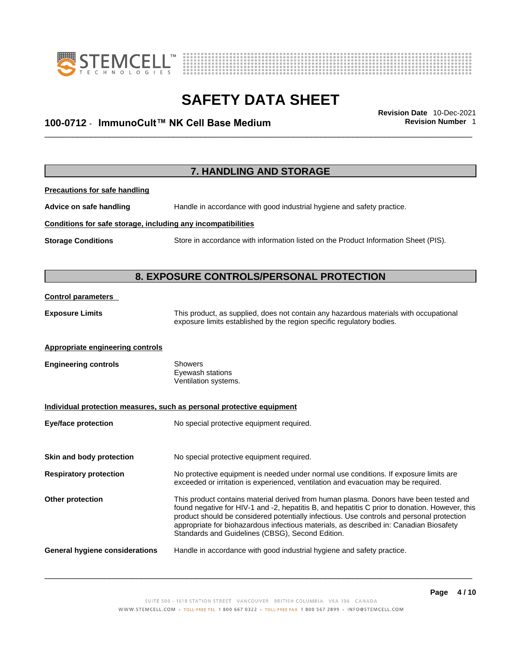



## \_\_\_\_\_\_\_\_\_\_\_\_\_\_\_\_\_\_\_\_\_\_\_\_\_\_\_\_\_\_\_\_\_\_\_\_\_\_\_\_\_\_\_\_\_\_\_\_\_\_\_\_\_\_\_\_\_\_\_\_\_\_\_\_\_\_\_\_\_\_\_\_\_\_\_\_\_\_\_\_\_\_\_\_\_\_\_\_\_\_\_\_\_ **Revision Date** 10-Dec-2021 **100-0712** - **ImmunoCult™ NK Cell Base Medium Revision Number** 1

| 7. HANDLING AND STORAGE                                      |                                                                                                                                                                                                                                                                                                                                                                                                                                    |  |
|--------------------------------------------------------------|------------------------------------------------------------------------------------------------------------------------------------------------------------------------------------------------------------------------------------------------------------------------------------------------------------------------------------------------------------------------------------------------------------------------------------|--|
| <b>Precautions for safe handling</b>                         |                                                                                                                                                                                                                                                                                                                                                                                                                                    |  |
| Advice on safe handling                                      | Handle in accordance with good industrial hygiene and safety practice.                                                                                                                                                                                                                                                                                                                                                             |  |
| Conditions for safe storage, including any incompatibilities |                                                                                                                                                                                                                                                                                                                                                                                                                                    |  |
| <b>Storage Conditions</b>                                    | Store in accordance with information listed on the Product Information Sheet (PIS).                                                                                                                                                                                                                                                                                                                                                |  |
|                                                              | 8. EXPOSURE CONTROLS/PERSONAL PROTECTION                                                                                                                                                                                                                                                                                                                                                                                           |  |
| <b>Control parameters</b>                                    |                                                                                                                                                                                                                                                                                                                                                                                                                                    |  |
| <b>Exposure Limits</b>                                       | This product, as supplied, does not contain any hazardous materials with occupational<br>exposure limits established by the region specific regulatory bodies.                                                                                                                                                                                                                                                                     |  |
| <b>Appropriate engineering controls</b>                      |                                                                                                                                                                                                                                                                                                                                                                                                                                    |  |
| <b>Engineering controls</b>                                  | Showers<br>Eyewash stations<br>Ventilation systems.                                                                                                                                                                                                                                                                                                                                                                                |  |
|                                                              | Individual protection measures, such as personal protective equipment                                                                                                                                                                                                                                                                                                                                                              |  |
| <b>Eye/face protection</b>                                   | No special protective equipment required.                                                                                                                                                                                                                                                                                                                                                                                          |  |
| Skin and body protection                                     | No special protective equipment required.                                                                                                                                                                                                                                                                                                                                                                                          |  |
| <b>Respiratory protection</b>                                | No protective equipment is needed under normal use conditions. If exposure limits are<br>exceeded or irritation is experienced, ventilation and evacuation may be required.                                                                                                                                                                                                                                                        |  |
| Other protection                                             | This product contains material derived from human plasma. Donors have been tested and<br>found negative for HIV-1 and -2, hepatitis B, and hepatitis C prior to donation. However, this<br>product should be considered potentially infectious. Use controls and personal protection<br>appropriate for biohazardous infectious materials, as described in: Canadian Biosafety<br>Standards and Guidelines (CBSG), Second Edition. |  |
|                                                              |                                                                                                                                                                                                                                                                                                                                                                                                                                    |  |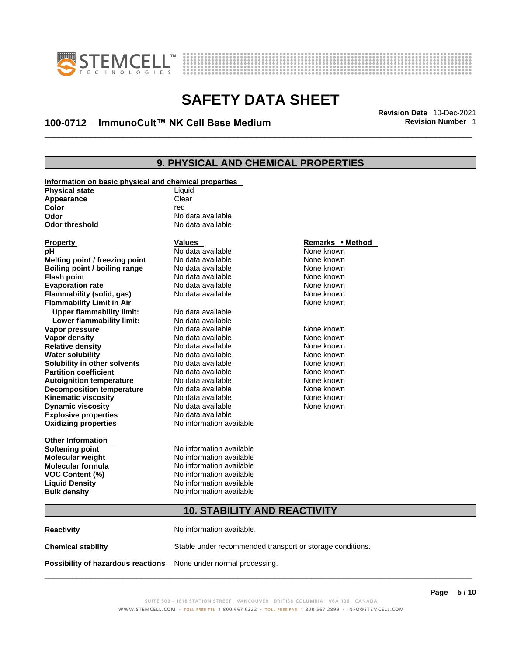



## \_\_\_\_\_\_\_\_\_\_\_\_\_\_\_\_\_\_\_\_\_\_\_\_\_\_\_\_\_\_\_\_\_\_\_\_\_\_\_\_\_\_\_\_\_\_\_\_\_\_\_\_\_\_\_\_\_\_\_\_\_\_\_\_\_\_\_\_\_\_\_\_\_\_\_\_\_\_\_\_\_\_\_\_\_\_\_\_\_\_\_\_\_ **Revision Date** 10-Dec-2021 **100-0712** - **ImmunoCult™ NK Cell Base Medium Revision Number** 1

## **9. PHYSICAL AND CHEMICAL PROPERTIES**

| Information on basic physical and chemical properties |                          |                  |  |
|-------------------------------------------------------|--------------------------|------------------|--|
| <b>Physical state</b>                                 | Liquid                   |                  |  |
| Appearance                                            | Clear                    |                  |  |
| Color                                                 | red                      |                  |  |
| Odor                                                  | No data available        |                  |  |
| <b>Odor threshold</b>                                 | No data available        |                  |  |
|                                                       |                          |                  |  |
| <b>Property</b>                                       | <b>Values</b>            | Remarks • Method |  |
| рH                                                    | No data available        | None known       |  |
| Melting point / freezing point                        | No data available        | None known       |  |
| Boiling point / boiling range                         | No data available        | None known       |  |
| <b>Flash point</b>                                    | No data available        | None known       |  |
| <b>Evaporation rate</b>                               | No data available        | None known       |  |
| Flammability (solid, gas)                             | No data available        | None known       |  |
| <b>Flammability Limit in Air</b>                      |                          | None known       |  |
| <b>Upper flammability limit:</b>                      | No data available        |                  |  |
| Lower flammability limit:                             | No data available        |                  |  |
| Vapor pressure                                        | No data available        | None known       |  |
| <b>Vapor density</b>                                  | No data available        | None known       |  |
| <b>Relative density</b>                               | No data available        | None known       |  |
| <b>Water solubility</b>                               | No data available        | None known       |  |
| Solubility in other solvents                          | No data available        | None known       |  |
| <b>Partition coefficient</b>                          | No data available        | None known       |  |
| <b>Autoignition temperature</b>                       | No data available        | None known       |  |
| <b>Decomposition temperature</b>                      | No data available        | None known       |  |
| <b>Kinematic viscosity</b>                            | No data available        | None known       |  |
| <b>Dynamic viscosity</b>                              | No data available        | None known       |  |
| <b>Explosive properties</b>                           | No data available        |                  |  |
| <b>Oxidizing properties</b>                           | No information available |                  |  |
|                                                       |                          |                  |  |
| Other Information                                     |                          |                  |  |
| <b>Softening point</b>                                | No information available |                  |  |
| <b>Molecular weight</b>                               | No information available |                  |  |
| Molecular formula                                     | No information available |                  |  |
| <b>VOC Content (%)</b>                                | No information available |                  |  |
| <b>Liquid Density</b>                                 | No information available |                  |  |
| <b>Bulk density</b>                                   | No information available |                  |  |
|                                                       |                          |                  |  |
| <b>10. STABILITY AND REACTIVITY</b>                   |                          |                  |  |

**Reactivity No information available. Chemical stability** Stable under recommended transport or storage conditions. **Possibility of hazardous reactions** None under normal processing.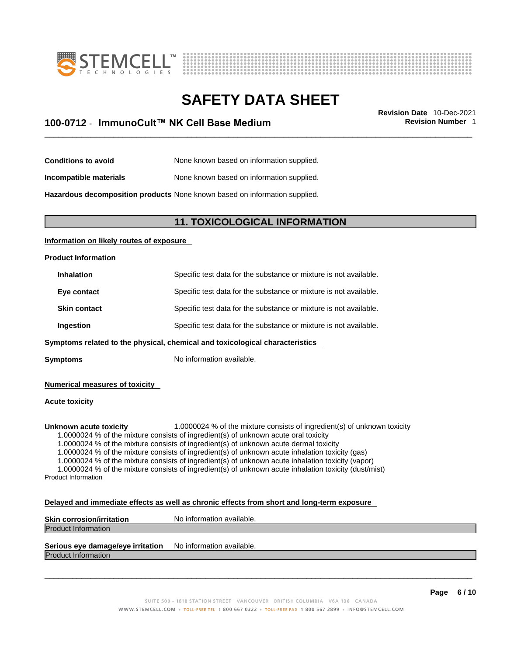



## \_\_\_\_\_\_\_\_\_\_\_\_\_\_\_\_\_\_\_\_\_\_\_\_\_\_\_\_\_\_\_\_\_\_\_\_\_\_\_\_\_\_\_\_\_\_\_\_\_\_\_\_\_\_\_\_\_\_\_\_\_\_\_\_\_\_\_\_\_\_\_\_\_\_\_\_\_\_\_\_\_\_\_\_\_\_\_\_\_\_\_\_\_ **Revision Date** 10-Dec-2021 **100-0712** - **ImmunoCult™ NK Cell Base Medium Revision Number** 1

**Conditions to avoid** None known based on information supplied.

**Incompatible materials** None known based on information supplied.

**Hazardous decomposition products** None known based on information supplied.

### **11. TOXICOLOGICAL INFORMATION**

### **Information on likely routes of exposure**

#### **Product Information**

| <b>Inhalation</b>   | Specific test data for the substance or mixture is not available. |
|---------------------|-------------------------------------------------------------------|
| Eye contact         | Specific test data for the substance or mixture is not available. |
| <b>Skin contact</b> | Specific test data for the substance or mixture is not available. |
| Ingestion           | Specific test data for the substance or mixture is not available. |
|                     |                                                                   |

**Symptoms** related to the physical, chemical and toxicological characteristics

**Symptoms** No information available.

**Numerical measures of toxicity**

#### **Acute toxicity**

**Unknown acute toxicity** 1.0000024 % of the mixture consists of ingredient(s) of unknown toxicity

1.0000024 % of the mixture consists of ingredient(s) of unknown acute oral toxicity

1.0000024 % of the mixture consists of ingredient(s) of unknown acute dermal toxicity

1.0000024 % of the mixture consists of ingredient(s) of unknown acute inhalation toxicity (gas)

1.0000024 % of the mixture consists of ingredient(s) of unknown acute inhalation toxicity (vapor)

1.0000024 % of the mixture consists of ingredient(s) of unknown acute inhalation toxicity (dust/mist) Product Information

#### **Delayed and immediate effects as well as chronic effects from short and long-term exposure**

| <b>Skin corrosion/irritation</b> | No information available. |
|----------------------------------|---------------------------|
| <b>Product Information</b>       |                           |
|                                  |                           |

## **Serious eye damage/eye irritation** No information available.

Product Information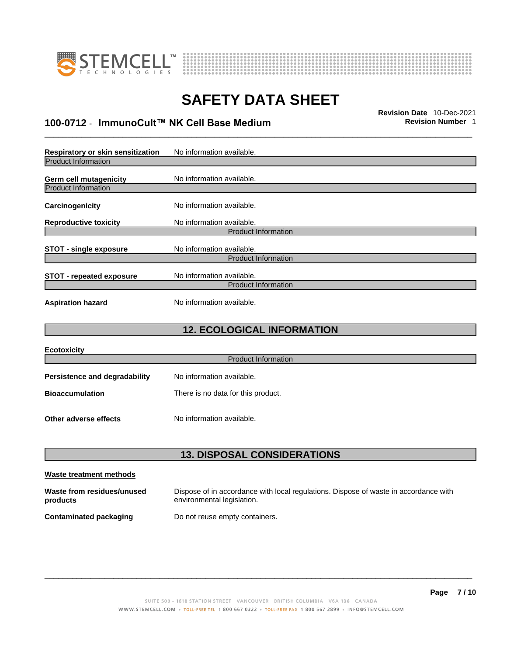



## \_\_\_\_\_\_\_\_\_\_\_\_\_\_\_\_\_\_\_\_\_\_\_\_\_\_\_\_\_\_\_\_\_\_\_\_\_\_\_\_\_\_\_\_\_\_\_\_\_\_\_\_\_\_\_\_\_\_\_\_\_\_\_\_\_\_\_\_\_\_\_\_\_\_\_\_\_\_\_\_\_\_\_\_\_\_\_\_\_\_\_\_\_ **Revision Date** 10-Dec-2021 **100-0712** - **ImmunoCult™ NK Cell Base Medium Revision Number** 1

| Respiratory or skin sensitization                    | No information available.                               |  |
|------------------------------------------------------|---------------------------------------------------------|--|
| <b>Product Information</b>                           |                                                         |  |
| Germ cell mutagenicity<br><b>Product Information</b> | No information available.                               |  |
| Carcinogenicity                                      | No information available.                               |  |
| <b>Reproductive toxicity</b>                         | No information available.<br><b>Product Information</b> |  |
|                                                      |                                                         |  |
| <b>STOT - single exposure</b>                        | No information available.                               |  |
| <b>Product Information</b>                           |                                                         |  |
| <b>STOT - repeated exposure</b>                      | No information available.<br><b>Product Information</b> |  |
| <b>Aspiration hazard</b>                             | No information available.                               |  |

## **12. ECOLOGICAL INFORMATION**

| <b>Ecotoxicity</b>                   |                                    |
|--------------------------------------|------------------------------------|
|                                      | <b>Product Information</b>         |
| <b>Persistence and degradability</b> | No information available.          |
| <b>Bioaccumulation</b>               | There is no data for this product. |
| Other adverse effects                | No information available.          |

## **13. DISPOSAL CONSIDERATIONS**

| Waste treatment methods                |                                                                                                                    |
|----------------------------------------|--------------------------------------------------------------------------------------------------------------------|
| Waste from residues/unused<br>products | Dispose of in accordance with local regulations. Dispose of waste in accordance with<br>environmental legislation. |
| Contaminated packaging                 | Do not reuse empty containers.                                                                                     |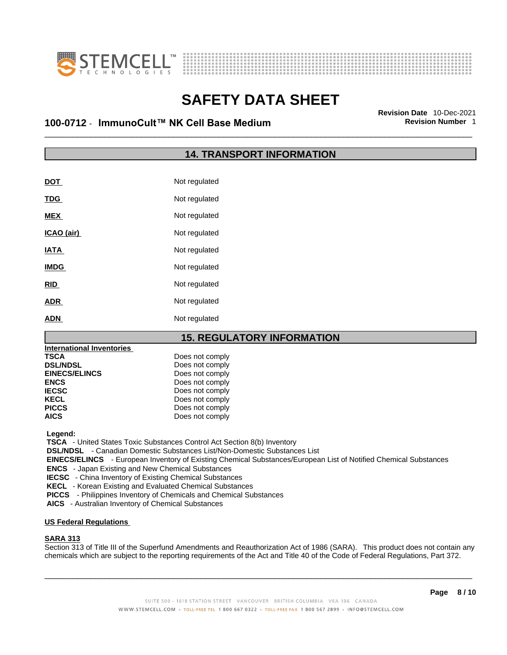



## \_\_\_\_\_\_\_\_\_\_\_\_\_\_\_\_\_\_\_\_\_\_\_\_\_\_\_\_\_\_\_\_\_\_\_\_\_\_\_\_\_\_\_\_\_\_\_\_\_\_\_\_\_\_\_\_\_\_\_\_\_\_\_\_\_\_\_\_\_\_\_\_\_\_\_\_\_\_\_\_\_\_\_\_\_\_\_\_\_\_\_\_\_ **Revision Date** 10-Dec-2021 **100-0712** - **ImmunoCult™ NK Cell Base Medium Revision Number** 1

## **14. TRANSPORT INFORMATION**

| DOT         | Not regulated |
|-------------|---------------|
| <b>TDG</b>  | Not regulated |
| <b>MEX</b>  | Not regulated |
| ICAO (air)  | Not regulated |
| <b>IATA</b> | Not regulated |
| <b>IMDG</b> | Not regulated |
| <b>RID</b>  | Not regulated |
| <b>ADR</b>  | Not regulated |
| <b>ADN</b>  | Not regulated |

## **15. REGULATORY INFORMATION**

| Does not comply |  |
|-----------------|--|
| Does not comply |  |
| Does not comply |  |
| Does not comply |  |
| Does not comply |  |
| Does not comply |  |
| Does not comply |  |
| Does not comply |  |
|                 |  |

 **Legend:** 

 **TSCA** - United States Toxic Substances Control Act Section 8(b) Inventory

 **DSL/NDSL** - Canadian Domestic Substances List/Non-Domestic Substances List

 **EINECS/ELINCS** - European Inventory of Existing Chemical Substances/European List of Notified Chemical Substances

 **ENCS** - Japan Existing and New Chemical Substances

 **IECSC** - China Inventory of Existing Chemical Substances

 **KECL** - Korean Existing and Evaluated Chemical Substances

 **PICCS** - Philippines Inventory of Chemicals and Chemical Substances

 **AICS** - Australian Inventory of Chemical Substances

#### **US Federal Regulations**

### **SARA 313**

Section 313 of Title III of the Superfund Amendments and Reauthorization Act of 1986 (SARA). This product does not contain any chemicals which are subject to the reporting requirements of the Act and Title 40 of the Code of Federal Regulations, Part 372.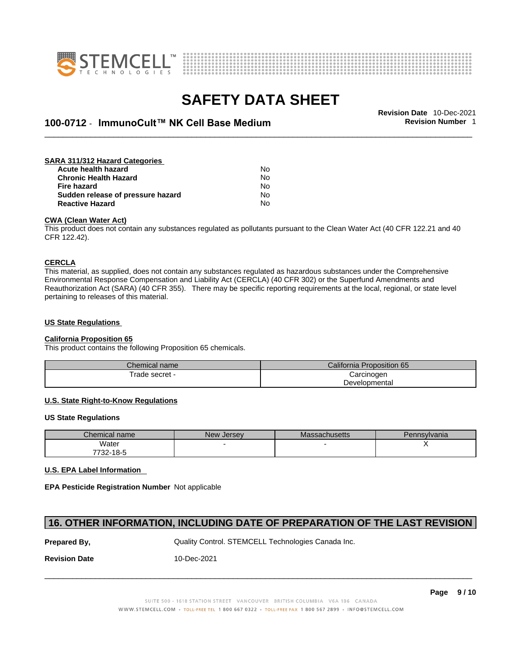



## \_\_\_\_\_\_\_\_\_\_\_\_\_\_\_\_\_\_\_\_\_\_\_\_\_\_\_\_\_\_\_\_\_\_\_\_\_\_\_\_\_\_\_\_\_\_\_\_\_\_\_\_\_\_\_\_\_\_\_\_\_\_\_\_\_\_\_\_\_\_\_\_\_\_\_\_\_\_\_\_\_\_\_\_\_\_\_\_\_\_\_\_\_ **Revision Date** 10-Dec-2021 **100-0712** - **ImmunoCult™ NK Cell Base Medium Revision Number** 1

#### **SARA 311/312 Hazard Categories Acute health hazard** No **Chronic Health Hazard No. 1996 12:33 No. 1996 12:34 No. 1996 12:34 No. 1996 12:34 No. 1996 12:34 No. 1999 12:34 No. 1999 12:34 No. 1999 12:34 No. 1999 12:34 No. 1999 12:34 No. 1999 12:34 No. 1999 12:34 No. 1999 12:34 No Fire hazard** No<br>**Sudden release of pressure hazard No** No **Sudden release of pressure hazard Reactive Hazard** No

#### **CWA (Clean WaterAct)**

This product does not contain any substances regulated as pollutants pursuant to the Clean Water Act (40 CFR 122.21 and 40 CFR 122.42).

#### **CERCLA**

This material, as supplied, does not contain any substances regulated as hazardous substances under the Comprehensive Environmental Response Compensation and Liability Act (CERCLA) (40 CFR 302) or the Superfund Amendments and Reauthorization Act (SARA) (40 CFR 355). There may be specific reporting requirements at the local, regional, or state level pertaining to releases of this material.

### **US State Regulations**

#### **California Proposition 65**

This product contains the following Proposition 65 chemicals.

| Chemical name   | California F<br>Proposition 65 |  |
|-----------------|--------------------------------|--|
| ' rade secret - | Carcinogen                     |  |
|                 | Developmental                  |  |

### **U.S. State Right-to-Know Regulations**

#### **US State Regulations**

| Chemical name | New Jersev | Massachusetts | Pennsylvania |
|---------------|------------|---------------|--------------|
| Water         |            |               |              |
| 7732-18-5     |            |               |              |

#### **U.S. EPA Label Information**

**EPA Pesticide Registration Number** Not applicable

### **16. OTHER INFORMATION, INCLUDING DATE OF PREPARATION OF THE LAST REVISION**

**Prepared By, State Control. STEMCELL Technologies Canada Inc.** Canada Inc.

**Revision Date** 10-Dec-2021